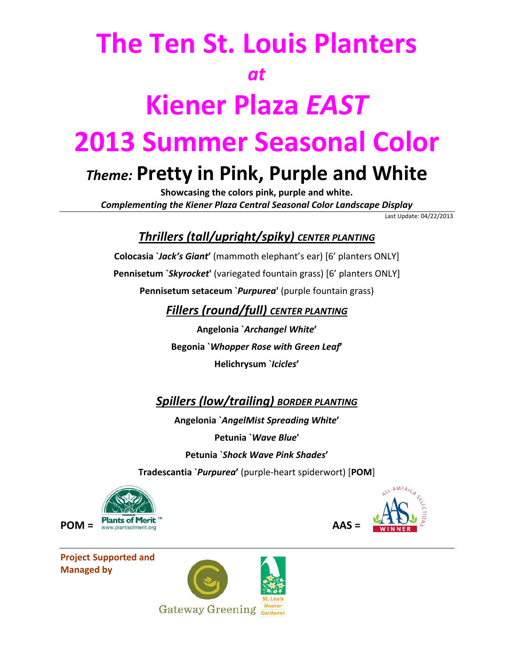## **The Ten St. Louis Planters** *at* **Kiener Plaza** *EAST* **2013 Summer Seasonal Color**

### *Theme:* **Pretty in Pink, Purple and White**

**Showcasing the colors pink, purple and white.** *Complementing the Kiener Plaza Central Seasonal Color Landscape Display*

Last Update: 04/22/2013

#### *Thrillers (tall/upright/spiky) CENTER PLANTING*

**Colocasia `***Jack's Giant***'** (mammoth elephant's ear) [6' planters ONLY] **Pennisetum `***Skyrocket***'** (variegated fountain grass) [6' planters ONLY] **Pennisetum setaceum `***Purpurea***'** (purple fountain grass)

*Fillers (round/full) CENTER PLANTING*

**Angelonia `***Archangel White***' Begonia `***Whopper Rose with Green Leaf***' Helichrysum `***Icicles***'**

*Spillers (low/trailing) BORDER PLANTING*

**Angelonia `***AngelMist Spreading White***' Petunia `***Wave Blue***' Petunia `***Shock Wave Pink Shades***'**

**Tradescantia `***Purpurea***'** (purple‐heart spiderwort) [**POM**]



**Project Supported and Managed by** 



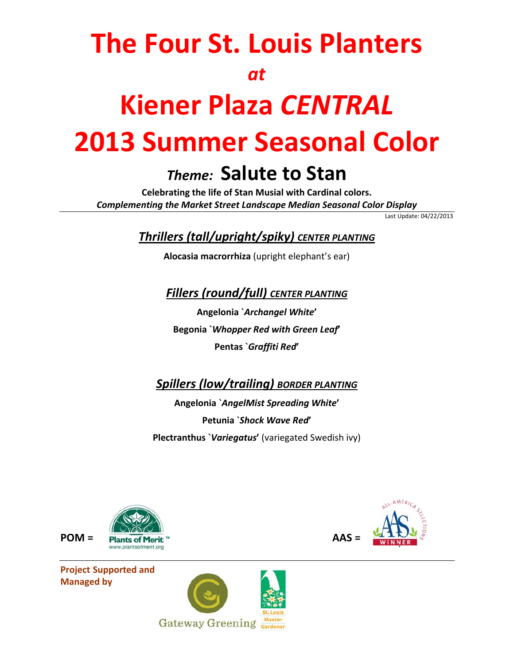## **The Four St. Louis Planters** *at* **Kiener Plaza** *CENTRAL*

# **2013 Summer Seasonal Color**

### *Theme:* **Salute to Stan**

**Celebrating the life of Stan Musial with Cardinal colors.** *Complementing the Market Street Landscape Median Seasonal Color Display*

Last Update: 04/22/2013

*Thrillers (tall/upright/spiky) CENTER PLANTING*

**Alocasia macrorrhiza** (upright elephant's ear)

*Fillers (round/full) CENTER PLANTING*

**Angelonia `***Archangel White***' Begonia `***Whopper Red with Green Leaf***' Pentas `***Graffiti Red***'**

*Spillers (low/trailing) BORDER PLANTING*

**Angelonia `***AngelMist Spreading White***' Petunia `***Shock Wave Red***' Plectranthus `***Variegatus***'** (variegated Swedish ivy)



**Project Supported and Managed by**